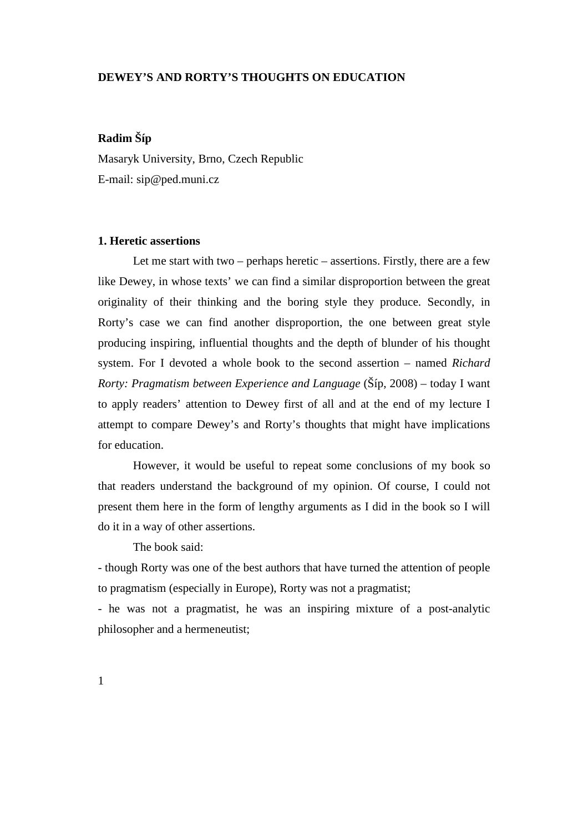# **DEWEY'S AND RORTY'S THOUGHTS ON EDUCATION**

# **Radim Šíp**

Masaryk University, Brno, Czech Republic E-mail: sip@ped.muni.cz

### **1. Heretic assertions**

 Let me start with two – perhaps heretic – assertions. Firstly, there are a few like Dewey, in whose texts' we can find a similar disproportion between the great originality of their thinking and the boring style they produce. Secondly, in Rorty's case we can find another disproportion, the one between great style producing inspiring, influential thoughts and the depth of blunder of his thought system. For I devoted a whole book to the second assertion – named *Richard Rorty: Pragmatism between Experience and Language* (Šíp, 2008) – today I want to apply readers' attention to Dewey first of all and at the end of my lecture I attempt to compare Dewey's and Rorty's thoughts that might have implications for education.

 However, it would be useful to repeat some conclusions of my book so that readers understand the background of my opinion. Of course, I could not present them here in the form of lengthy arguments as I did in the book so I will do it in a way of other assertions.

The book said:

- though Rorty was one of the best authors that have turned the attention of people to pragmatism (especially in Europe), Rorty was not a pragmatist;

- he was not a pragmatist, he was an inspiring mixture of a post-analytic philosopher and a hermeneutist;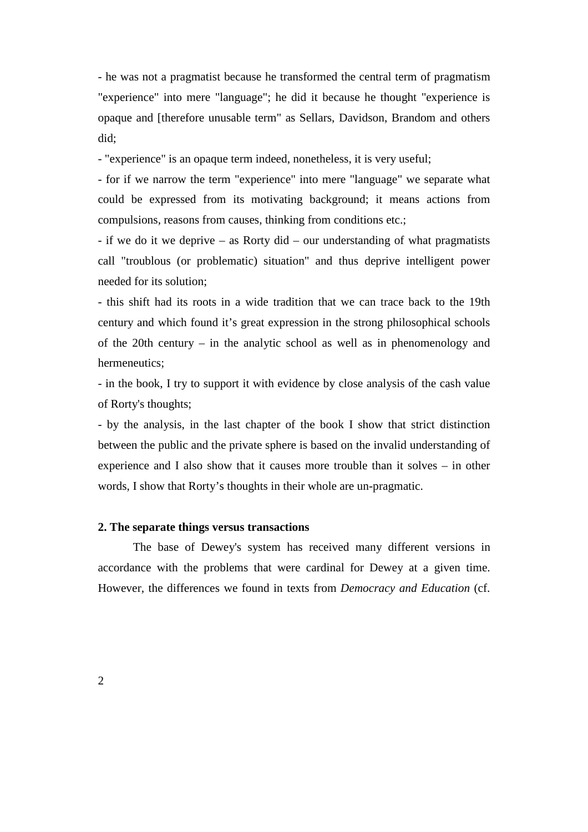- he was not a pragmatist because he transformed the central term of pragmatism "experience" into mere "language"; he did it because he thought "experience is opaque and [therefore unusable term" as Sellars, Davidson, Brandom and others did;

- "experience" is an opaque term indeed, nonetheless, it is very useful;

- for if we narrow the term "experience" into mere "language" we separate what could be expressed from its motivating background; it means actions from compulsions, reasons from causes, thinking from conditions etc.;

- if we do it we deprive – as Rorty did – our understanding of what pragmatists call "troublous (or problematic) situation" and thus deprive intelligent power needed for its solution;

- this shift had its roots in a wide tradition that we can trace back to the 19th century and which found it's great expression in the strong philosophical schools of the 20th century – in the analytic school as well as in phenomenology and hermeneutics;

- in the book, I try to support it with evidence by close analysis of the cash value of Rorty's thoughts;

- by the analysis, in the last chapter of the book I show that strict distinction between the public and the private sphere is based on the invalid understanding of experience and I also show that it causes more trouble than it solves – in other words, I show that Rorty's thoughts in their whole are un-pragmatic.

#### **2. The separate things versus transactions**

 The base of Dewey's system has received many different versions in accordance with the problems that were cardinal for Dewey at a given time. However, the differences we found in texts from *Democracy and Education* (cf.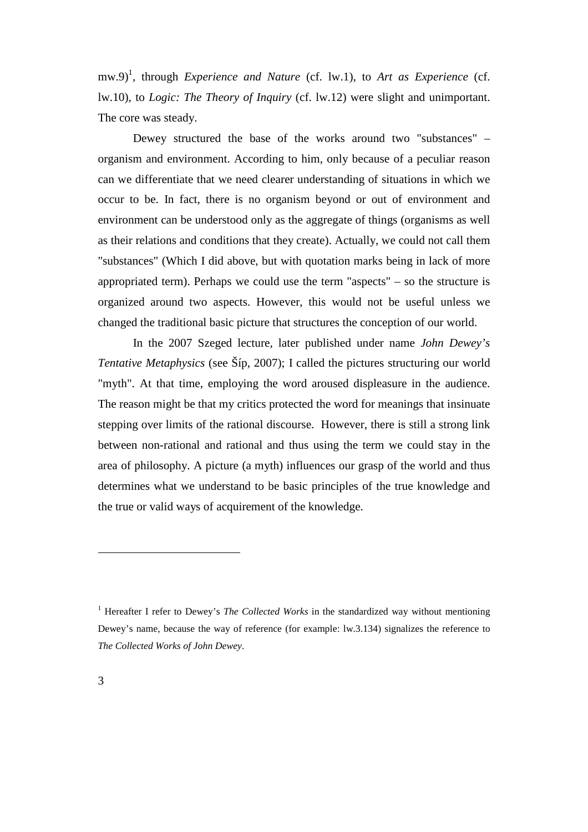mw.9)<sup>1</sup>, through *Experience and Nature* (cf. lw.1), to *Art as Experience* (cf. lw.10)*,* to *Logic: The Theory of Inquiry* (cf. lw.12) were slight and unimportant. The core was steady.

 Dewey structured the base of the works around two "substances" – organism and environment. According to him, only because of a peculiar reason can we differentiate that we need clearer understanding of situations in which we occur to be. In fact, there is no organism beyond or out of environment and environment can be understood only as the aggregate of things (organisms as well as their relations and conditions that they create). Actually, we could not call them "substances" (Which I did above, but with quotation marks being in lack of more appropriated term). Perhaps we could use the term "aspects" – so the structure is organized around two aspects. However, this would not be useful unless we changed the traditional basic picture that structures the conception of our world.

 In the 2007 Szeged lecture, later published under name *John Dewey's Tentative Metaphysics* (see Šíp, 2007); I called the pictures structuring our world "myth". At that time, employing the word aroused displeasure in the audience. The reason might be that my critics protected the word for meanings that insinuate stepping over limits of the rational discourse. However, there is still a strong link between non-rational and rational and thus using the term we could stay in the area of philosophy. A picture (a myth) influences our grasp of the world and thus determines what we understand to be basic principles of the true knowledge and the true or valid ways of acquirement of the knowledge.

 $\overline{a}$ 

<sup>&</sup>lt;sup>1</sup> Hereafter I refer to Dewey's *The Collected Works* in the standardized way without mentioning Dewey's name, because the way of reference (for example: lw.3.134) signalizes the reference to *The Collected Works of John Dewey*.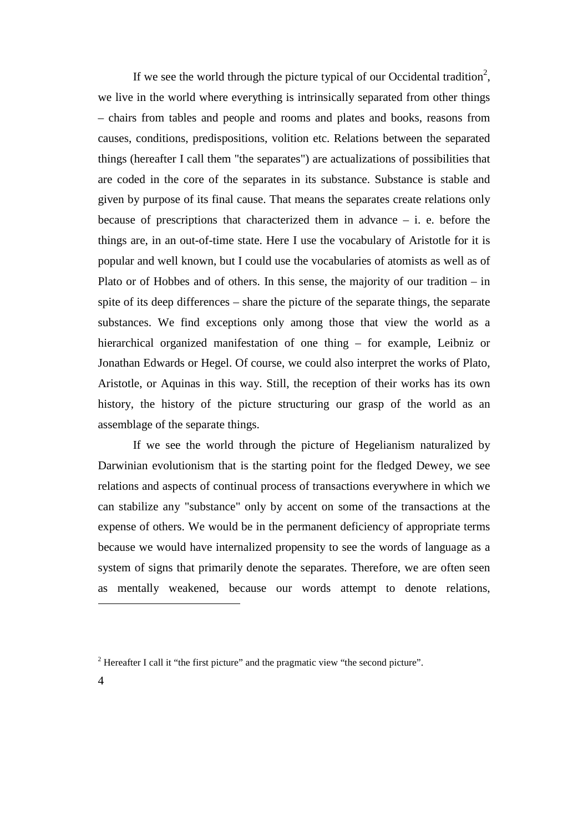If we see the world through the picture typical of our Occidental tradition<sup>2</sup>, we live in the world where everything is intrinsically separated from other things – chairs from tables and people and rooms and plates and books, reasons from causes, conditions, predispositions, volition etc. Relations between the separated things (hereafter I call them "the separates") are actualizations of possibilities that are coded in the core of the separates in its substance. Substance is stable and given by purpose of its final cause. That means the separates create relations only because of prescriptions that characterized them in advance  $-$  i. e. before the things are, in an out-of-time state. Here I use the vocabulary of Aristotle for it is popular and well known, but I could use the vocabularies of atomists as well as of Plato or of Hobbes and of others. In this sense, the majority of our tradition – in spite of its deep differences – share the picture of the separate things, the separate substances. We find exceptions only among those that view the world as a hierarchical organized manifestation of one thing – for example, Leibniz or Jonathan Edwards or Hegel. Of course, we could also interpret the works of Plato, Aristotle, or Aquinas in this way. Still, the reception of their works has its own history, the history of the picture structuring our grasp of the world as an assemblage of the separate things.

 If we see the world through the picture of Hegelianism naturalized by Darwinian evolutionism that is the starting point for the fledged Dewey, we see relations and aspects of continual process of transactions everywhere in which we can stabilize any "substance" only by accent on some of the transactions at the expense of others. We would be in the permanent deficiency of appropriate terms because we would have internalized propensity to see the words of language as a system of signs that primarily denote the separates. Therefore, we are often seen as mentally weakened, because our words attempt to denote relations,

 $\overline{a}$ 

<sup>&</sup>lt;sup>2</sup> Hereafter I call it "the first picture" and the pragmatic view "the second picture".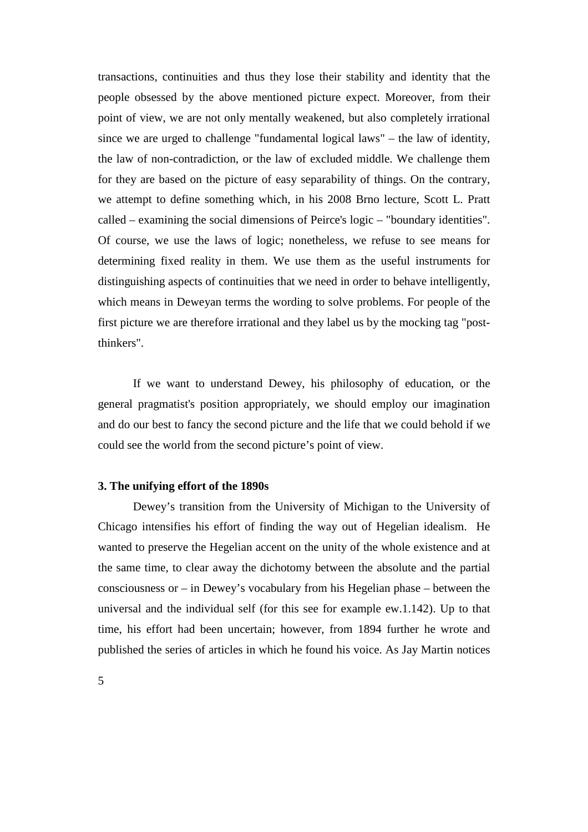transactions, continuities and thus they lose their stability and identity that the people obsessed by the above mentioned picture expect. Moreover, from their point of view, we are not only mentally weakened, but also completely irrational since we are urged to challenge "fundamental logical laws" – the law of identity, the law of non-contradiction, or the law of excluded middle. We challenge them for they are based on the picture of easy separability of things. On the contrary, we attempt to define something which, in his 2008 Brno lecture, Scott L. Pratt called – examining the social dimensions of Peirce's logic – "boundary identities". Of course, we use the laws of logic; nonetheless, we refuse to see means for determining fixed reality in them. We use them as the useful instruments for distinguishing aspects of continuities that we need in order to behave intelligently, which means in Deweyan terms the wording to solve problems. For people of the first picture we are therefore irrational and they label us by the mocking tag "postthinkers".

 If we want to understand Dewey, his philosophy of education, or the general pragmatist's position appropriately, we should employ our imagination and do our best to fancy the second picture and the life that we could behold if we could see the world from the second picture's point of view.

#### **3. The unifying effort of the 1890s**

 Dewey's transition from the University of Michigan to the University of Chicago intensifies his effort of finding the way out of Hegelian idealism. He wanted to preserve the Hegelian accent on the unity of the whole existence and at the same time, to clear away the dichotomy between the absolute and the partial consciousness or – in Dewey's vocabulary from his Hegelian phase – between the universal and the individual self (for this see for example ew.1.142). Up to that time, his effort had been uncertain; however, from 1894 further he wrote and published the series of articles in which he found his voice. As Jay Martin notices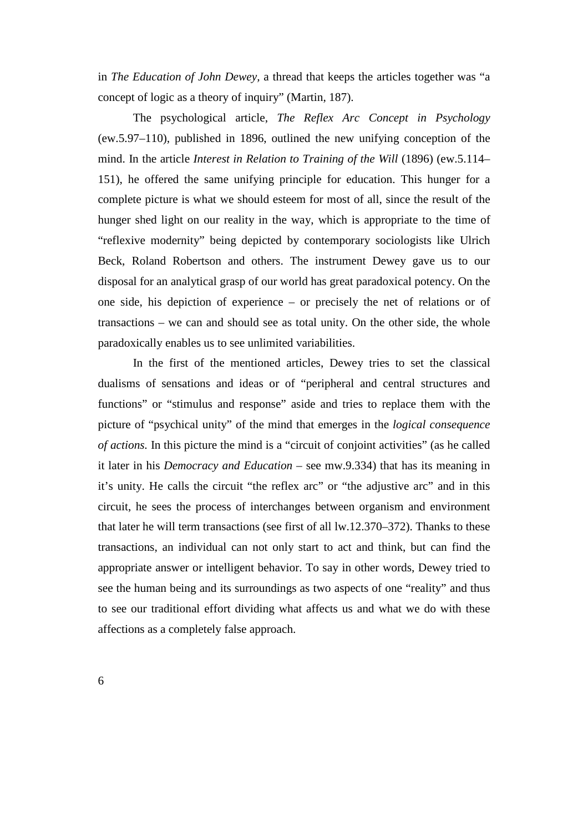in *The Education of John Dewey,* a thread that keeps the articles together was "a concept of logic as a theory of inquiry" (Martin, 187).

 The psychological article, *The Reflex Arc Concept in Psychology*  (ew.5.97–110), published in 1896, outlined the new unifying conception of the mind. In the article *Interest in Relation to Training of the Will* (1896) (ew.5.114– 151), he offered the same unifying principle for education. This hunger for a complete picture is what we should esteem for most of all, since the result of the hunger shed light on our reality in the way, which is appropriate to the time of "reflexive modernity" being depicted by contemporary sociologists like Ulrich Beck, Roland Robertson and others. The instrument Dewey gave us to our disposal for an analytical grasp of our world has great paradoxical potency. On the one side, his depiction of experience – or precisely the net of relations or of transactions – we can and should see as total unity. On the other side, the whole paradoxically enables us to see unlimited variabilities.

 In the first of the mentioned articles, Dewey tries to set the classical dualisms of sensations and ideas or of "peripheral and central structures and functions" or "stimulus and response" aside and tries to replace them with the picture of "psychical unity" of the mind that emerges in the *logical consequence of actions.* In this picture the mind is a "circuit of conjoint activities" (as he called it later in his *Democracy and Education* – see mw.9.334) that has its meaning in it's unity. He calls the circuit "the reflex arc" or "the adjustive arc" and in this circuit, he sees the process of interchanges between organism and environment that later he will term transactions (see first of all lw.12.370–372). Thanks to these transactions, an individual can not only start to act and think, but can find the appropriate answer or intelligent behavior. To say in other words, Dewey tried to see the human being and its surroundings as two aspects of one "reality" and thus to see our traditional effort dividing what affects us and what we do with these affections as a completely false approach.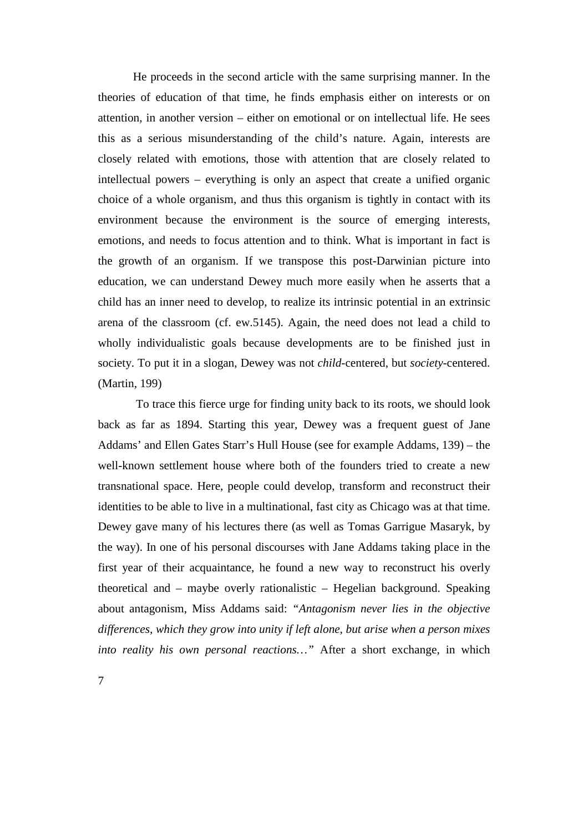He proceeds in the second article with the same surprising manner. In the theories of education of that time, he finds emphasis either on interests or on attention, in another version – either on emotional or on intellectual life. He sees this as a serious misunderstanding of the child's nature. Again, interests are closely related with emotions, those with attention that are closely related to intellectual powers – everything is only an aspect that create a unified organic choice of a whole organism, and thus this organism is tightly in contact with its environment because the environment is the source of emerging interests, emotions, and needs to focus attention and to think. What is important in fact is the growth of an organism. If we transpose this post-Darwinian picture into education, we can understand Dewey much more easily when he asserts that a child has an inner need to develop, to realize its intrinsic potential in an extrinsic arena of the classroom (cf. ew.5145). Again, the need does not lead a child to wholly individualistic goals because developments are to be finished just in society. To put it in a slogan, Dewey was not *child*-centered, but *society*-centered. (Martin, 199)

 To trace this fierce urge for finding unity back to its roots, we should look back as far as 1894. Starting this year, Dewey was a frequent guest of Jane Addams' and Ellen Gates Starr's Hull House (see for example Addams, 139) – the well-known settlement house where both of the founders tried to create a new transnational space. Here, people could develop, transform and reconstruct their identities to be able to live in a multinational, fast city as Chicago was at that time. Dewey gave many of his lectures there (as well as Tomas Garrigue Masaryk, by the way). In one of his personal discourses with Jane Addams taking place in the first year of their acquaintance, he found a new way to reconstruct his overly theoretical and – maybe overly rationalistic – Hegelian background. Speaking about antagonism, Miss Addams said: *"Antagonism never lies in the objective differences, which they grow into unity if left alone, but arise when a person mixes into reality his own personal reactions…"* After a short exchange, in which

7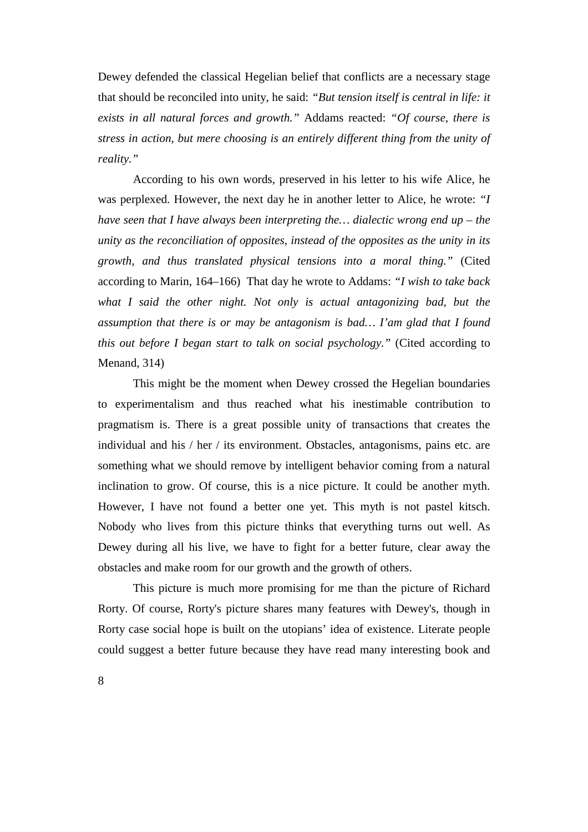Dewey defended the classical Hegelian belief that conflicts are a necessary stage that should be reconciled into unity, he said: *"But tension itself is central in life: it exists in all natural forces and growth."* Addams reacted: *"Of course, there is stress in action, but mere choosing is an entirely different thing from the unity of reality."* 

According to his own words, preserved in his letter to his wife Alice, he was perplexed. However, the next day he in another letter to Alice, he wrote: *"I have seen that I have always been interpreting the… dialectic wrong end up – the unity as the reconciliation of opposites, instead of the opposites as the unity in its growth, and thus translated physical tensions into a moral thing."* (Cited according to Marin, 164–166) That day he wrote to Addams: *"I wish to take back what I said the other night. Not only is actual antagonizing bad, but the assumption that there is or may be antagonism is bad… I'am glad that I found this out before I began start to talk on social psychology."* (Cited according to Menand, 314)

 This might be the moment when Dewey crossed the Hegelian boundaries to experimentalism and thus reached what his inestimable contribution to pragmatism is. There is a great possible unity of transactions that creates the individual and his / her / its environment. Obstacles, antagonisms, pains etc. are something what we should remove by intelligent behavior coming from a natural inclination to grow. Of course, this is a nice picture. It could be another myth. However, I have not found a better one yet. This myth is not pastel kitsch. Nobody who lives from this picture thinks that everything turns out well. As Dewey during all his live, we have to fight for a better future, clear away the obstacles and make room for our growth and the growth of others.

 This picture is much more promising for me than the picture of Richard Rorty. Of course, Rorty's picture shares many features with Dewey's, though in Rorty case social hope is built on the utopians' idea of existence. Literate people could suggest a better future because they have read many interesting book and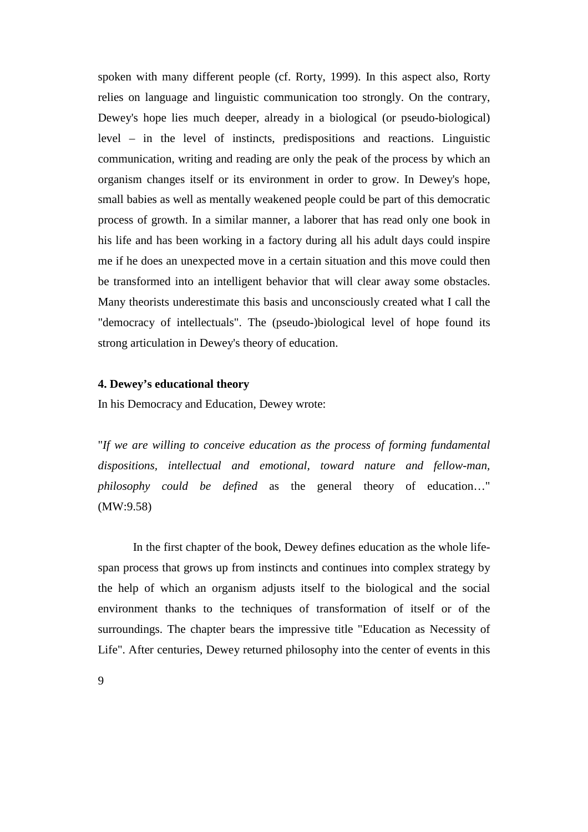spoken with many different people (cf. Rorty, 1999). In this aspect also, Rorty relies on language and linguistic communication too strongly. On the contrary, Dewey's hope lies much deeper, already in a biological (or pseudo-biological) level – in the level of instincts, predispositions and reactions. Linguistic communication, writing and reading are only the peak of the process by which an organism changes itself or its environment in order to grow. In Dewey's hope, small babies as well as mentally weakened people could be part of this democratic process of growth. In a similar manner, a laborer that has read only one book in his life and has been working in a factory during all his adult days could inspire me if he does an unexpected move in a certain situation and this move could then be transformed into an intelligent behavior that will clear away some obstacles. Many theorists underestimate this basis and unconsciously created what I call the "democracy of intellectuals". The (pseudo-)biological level of hope found its strong articulation in Dewey's theory of education.

### **4. Dewey's educational theory**

In his Democracy and Education, Dewey wrote:

"*If we are willing to conceive education as the process of forming fundamental dispositions, intellectual and emotional, toward nature and fellow-man, philosophy could be defined* as the general theory of education…" (MW:9.58)

 In the first chapter of the book, Dewey defines education as the whole lifespan process that grows up from instincts and continues into complex strategy by the help of which an organism adjusts itself to the biological and the social environment thanks to the techniques of transformation of itself or of the surroundings. The chapter bears the impressive title "Education as Necessity of Life". After centuries, Dewey returned philosophy into the center of events in this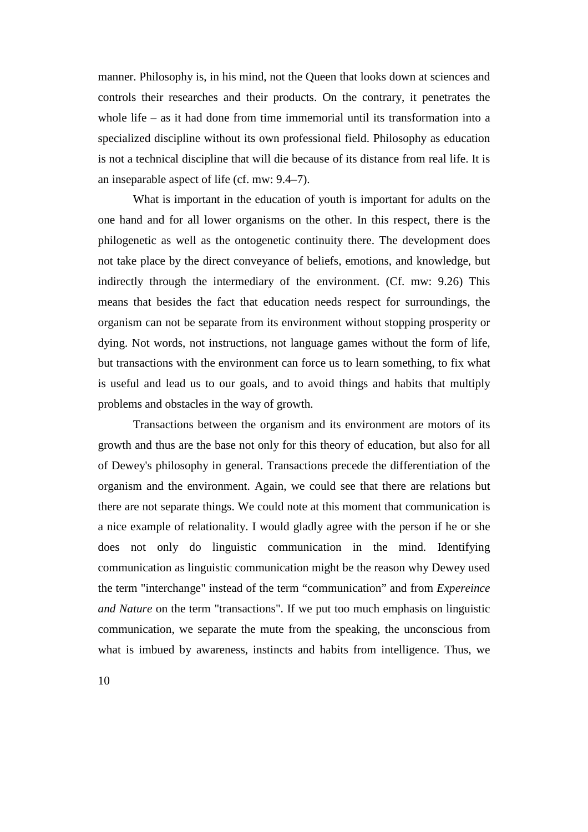manner. Philosophy is, in his mind, not the Queen that looks down at sciences and controls their researches and their products. On the contrary, it penetrates the whole life – as it had done from time immemorial until its transformation into a specialized discipline without its own professional field. Philosophy as education is not a technical discipline that will die because of its distance from real life. It is an inseparable aspect of life (cf. mw: 9.4–7).

 What is important in the education of youth is important for adults on the one hand and for all lower organisms on the other. In this respect, there is the philogenetic as well as the ontogenetic continuity there. The development does not take place by the direct conveyance of beliefs, emotions, and knowledge, but indirectly through the intermediary of the environment. (Cf. mw: 9.26) This means that besides the fact that education needs respect for surroundings, the organism can not be separate from its environment without stopping prosperity or dying. Not words, not instructions, not language games without the form of life, but transactions with the environment can force us to learn something, to fix what is useful and lead us to our goals, and to avoid things and habits that multiply problems and obstacles in the way of growth.

 Transactions between the organism and its environment are motors of its growth and thus are the base not only for this theory of education, but also for all of Dewey's philosophy in general. Transactions precede the differentiation of the organism and the environment. Again, we could see that there are relations but there are not separate things. We could note at this moment that communication is a nice example of relationality. I would gladly agree with the person if he or she does not only do linguistic communication in the mind. Identifying communication as linguistic communication might be the reason why Dewey used the term "interchange" instead of the term "communication" and from *Expereince and Nature* on the term "transactions". If we put too much emphasis on linguistic communication, we separate the mute from the speaking, the unconscious from what is imbued by awareness, instincts and habits from intelligence. Thus, we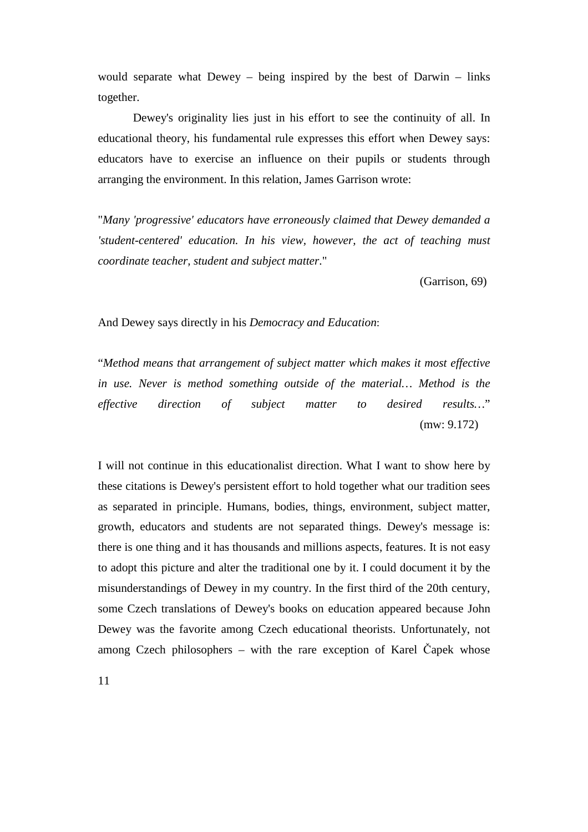would separate what Dewey – being inspired by the best of Darwin – links together.

 Dewey's originality lies just in his effort to see the continuity of all. In educational theory, his fundamental rule expresses this effort when Dewey says: educators have to exercise an influence on their pupils or students through arranging the environment. In this relation, James Garrison wrote:

"*Many 'progressive' educators have erroneously claimed that Dewey demanded a 'student-centered' education. In his view, however, the act of teaching must coordinate teacher, student and subject matter*."

(Garrison, 69)

And Dewey says directly in his *Democracy and Education*:

"*Method means that arrangement of subject matter which makes it most effective in use. Never is method something outside of the material… Method is the effective direction of subject matter to desired results…*" (mw: 9.172)

I will not continue in this educationalist direction. What I want to show here by these citations is Dewey's persistent effort to hold together what our tradition sees as separated in principle. Humans, bodies, things, environment, subject matter, growth, educators and students are not separated things. Dewey's message is: there is one thing and it has thousands and millions aspects, features. It is not easy to adopt this picture and alter the traditional one by it. I could document it by the misunderstandings of Dewey in my country. In the first third of the 20th century, some Czech translations of Dewey's books on education appeared because John Dewey was the favorite among Czech educational theorists. Unfortunately, not among Czech philosophers – with the rare exception of Karel Čapek whose

11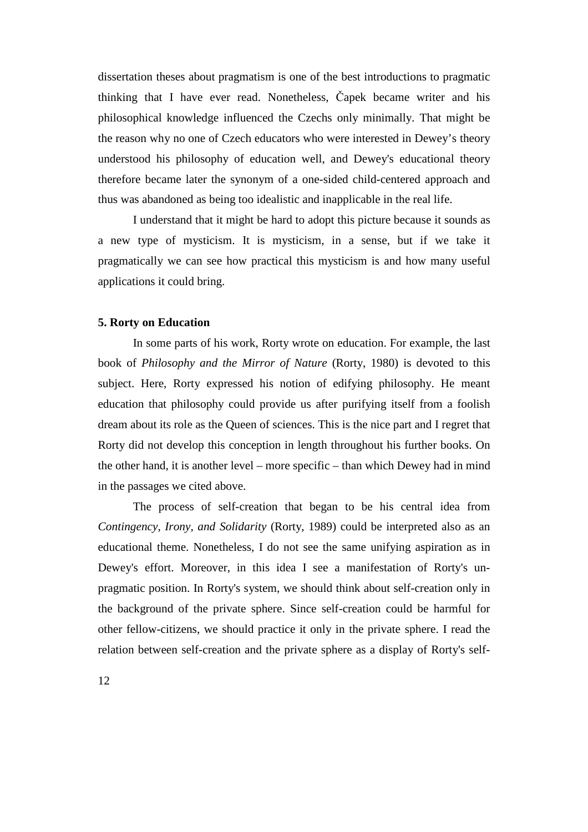dissertation theses about pragmatism is one of the best introductions to pragmatic thinking that I have ever read. Nonetheless, Čapek became writer and his philosophical knowledge influenced the Czechs only minimally. That might be the reason why no one of Czech educators who were interested in Dewey's theory understood his philosophy of education well, and Dewey's educational theory therefore became later the synonym of a one-sided child-centered approach and thus was abandoned as being too idealistic and inapplicable in the real life.

 I understand that it might be hard to adopt this picture because it sounds as a new type of mysticism. It is mysticism, in a sense, but if we take it pragmatically we can see how practical this mysticism is and how many useful applications it could bring.

# **5. Rorty on Education**

 In some parts of his work, Rorty wrote on education. For example, the last book of *Philosophy and the Mirror of Nature* (Rorty, 1980) is devoted to this subject. Here, Rorty expressed his notion of edifying philosophy. He meant education that philosophy could provide us after purifying itself from a foolish dream about its role as the Queen of sciences. This is the nice part and I regret that Rorty did not develop this conception in length throughout his further books. On the other hand, it is another level – more specific – than which Dewey had in mind in the passages we cited above.

 The process of self-creation that began to be his central idea from *Contingency, Irony, and Solidarity* (Rorty, 1989) could be interpreted also as an educational theme. Nonetheless, I do not see the same unifying aspiration as in Dewey's effort. Moreover, in this idea I see a manifestation of Rorty's unpragmatic position. In Rorty's system, we should think about self-creation only in the background of the private sphere. Since self-creation could be harmful for other fellow-citizens, we should practice it only in the private sphere. I read the relation between self-creation and the private sphere as a display of Rorty's self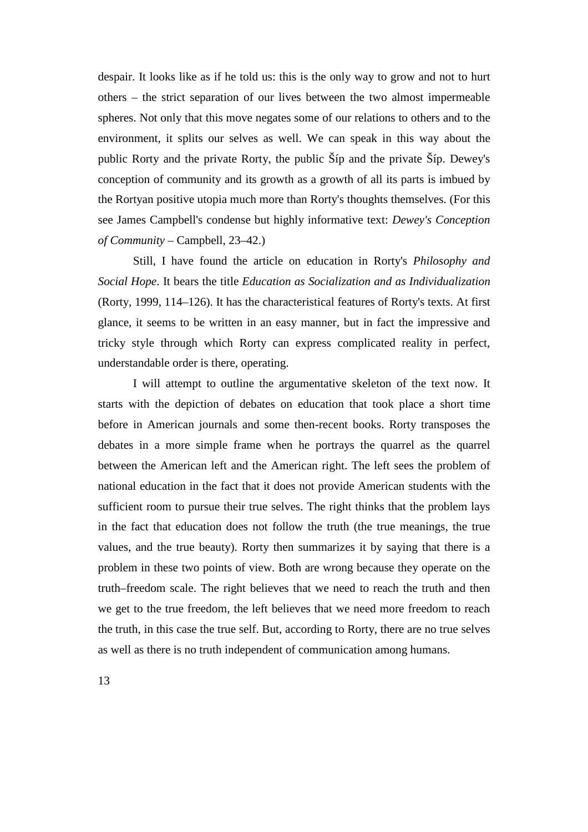despair. It looks like as if he told us: this is the only way to grow and not to hurt others – the strict separation of our lives between the two almost impermeable spheres. Not only that this move negates some of our relations to others and to the environment, it splits our selves as well. We can speak in this way about the public Rorty and the private Rorty, the public Šíp and the private Šíp. Dewey's conception of community and its growth as a growth of all its parts is imbued by the Rortyan positive utopia much more than Rorty's thoughts themselves. (For this see James Campbell's condense but highly informative text: *Dewey's Conception of Community* – Campbell, 23–42.)

 Still, I have found the article on education in Rorty's *Philosophy and Social Hope*. It bears the title *Education as Socialization and as Individualization* (Rorty, 1999, 114–126). It has the characteristical features of Rorty's texts. At first glance, it seems to be written in an easy manner, but in fact the impressive and tricky style through which Rorty can express complicated reality in perfect, understandable order is there, operating.

 I will attempt to outline the argumentative skeleton of the text now. It starts with the depiction of debates on education that took place a short time before in American journals and some then-recent books. Rorty transposes the debates in a more simple frame when he portrays the quarrel as the quarrel between the American left and the American right. The left sees the problem of national education in the fact that it does not provide American students with the sufficient room to pursue their true selves. The right thinks that the problem lays in the fact that education does not follow the truth (the true meanings, the true values, and the true beauty). Rorty then summarizes it by saying that there is a problem in these two points of view. Both are wrong because they operate on the truth–freedom scale. The right believes that we need to reach the truth and then we get to the true freedom, the left believes that we need more freedom to reach the truth, in this case the true self. But, according to Rorty, there are no true selves as well as there is no truth independent of communication among humans.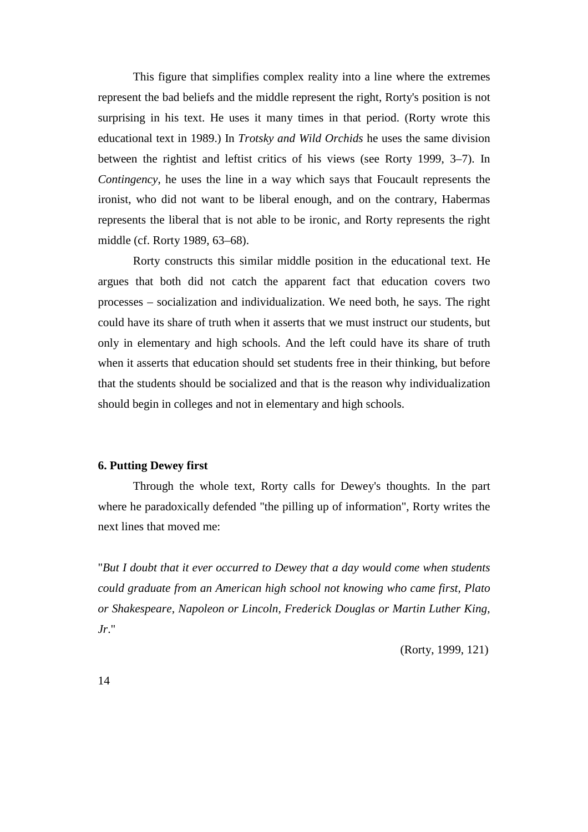This figure that simplifies complex reality into a line where the extremes represent the bad beliefs and the middle represent the right, Rorty's position is not surprising in his text. He uses it many times in that period. (Rorty wrote this educational text in 1989.) In *Trotsky and Wild Orchids* he uses the same division between the rightist and leftist critics of his views (see Rorty 1999, 3–7). In *Contingency*, he uses the line in a way which says that Foucault represents the ironist, who did not want to be liberal enough, and on the contrary, Habermas represents the liberal that is not able to be ironic, and Rorty represents the right middle (cf. Rorty 1989, 63–68).

 Rorty constructs this similar middle position in the educational text. He argues that both did not catch the apparent fact that education covers two processes – socialization and individualization. We need both, he says. The right could have its share of truth when it asserts that we must instruct our students, but only in elementary and high schools. And the left could have its share of truth when it asserts that education should set students free in their thinking, but before that the students should be socialized and that is the reason why individualization should begin in colleges and not in elementary and high schools.

### **6. Putting Dewey first**

 Through the whole text, Rorty calls for Dewey's thoughts. In the part where he paradoxically defended "the pilling up of information", Rorty writes the next lines that moved me:

"*But I doubt that it ever occurred to Dewey that a day would come when students could graduate from an American high school not knowing who came first, Plato or Shakespeare, Napoleon or Lincoln, Frederick Douglas or Martin Luther King, Jr*."

(Rorty, 1999, 121)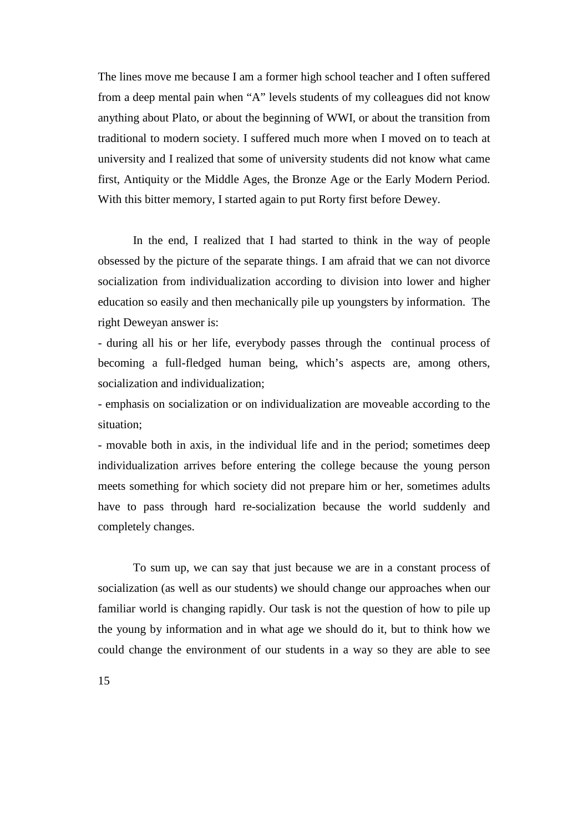The lines move me because I am a former high school teacher and I often suffered from a deep mental pain when "A" levels students of my colleagues did not know anything about Plato, or about the beginning of WWI, or about the transition from traditional to modern society. I suffered much more when I moved on to teach at university and I realized that some of university students did not know what came first, Antiquity or the Middle Ages, the Bronze Age or the Early Modern Period. With this bitter memory, I started again to put Rorty first before Dewey.

 In the end, I realized that I had started to think in the way of people obsessed by the picture of the separate things. I am afraid that we can not divorce socialization from individualization according to division into lower and higher education so easily and then mechanically pile up youngsters by information. The right Deweyan answer is:

- during all his or her life, everybody passes through the continual process of becoming a full-fledged human being, which's aspects are, among others, socialization and individualization;

- emphasis on socialization or on individualization are moveable according to the situation;

- movable both in axis, in the individual life and in the period; sometimes deep individualization arrives before entering the college because the young person meets something for which society did not prepare him or her, sometimes adults have to pass through hard re-socialization because the world suddenly and completely changes.

 To sum up, we can say that just because we are in a constant process of socialization (as well as our students) we should change our approaches when our familiar world is changing rapidly. Our task is not the question of how to pile up the young by information and in what age we should do it, but to think how we could change the environment of our students in a way so they are able to see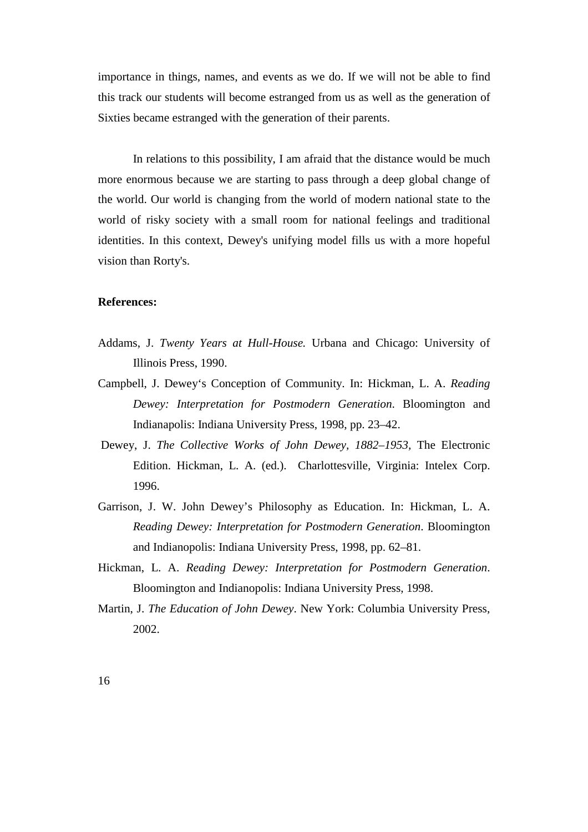importance in things, names, and events as we do. If we will not be able to find this track our students will become estranged from us as well as the generation of Sixties became estranged with the generation of their parents.

 In relations to this possibility, I am afraid that the distance would be much more enormous because we are starting to pass through a deep global change of the world. Our world is changing from the world of modern national state to the world of risky society with a small room for national feelings and traditional identities. In this context, Dewey's unifying model fills us with a more hopeful vision than Rorty's.

### **References:**

- Addams, J. *Twenty Years at Hull-House.* Urbana and Chicago: University of Illinois Press, 1990.
- Campbell, J. Dewey's Conception of Community. In: Hickman, L. A. *Reading Dewey: Interpretation for Postmodern Generation*. Bloomington and Indianapolis: Indiana University Press, 1998, pp. 23–42.
- Dewey, J. *The Collective Works of John Dewey, 1882–1953,* The Electronic Edition. Hickman, L. A. (ed.). Charlottesville, Virginia: Intelex Corp. 1996.
- Garrison, J. W. John Dewey's Philosophy as Education. In: Hickman, L. A. *Reading Dewey: Interpretation for Postmodern Generation*. Bloomington and Indianopolis: Indiana University Press, 1998, pp. 62–81.
- Hickman, L. A. *Reading Dewey: Interpretation for Postmodern Generation*. Bloomington and Indianopolis: Indiana University Press, 1998.
- Martin, J. *The Education of John Dewey*. New York: Columbia University Press, 2002.